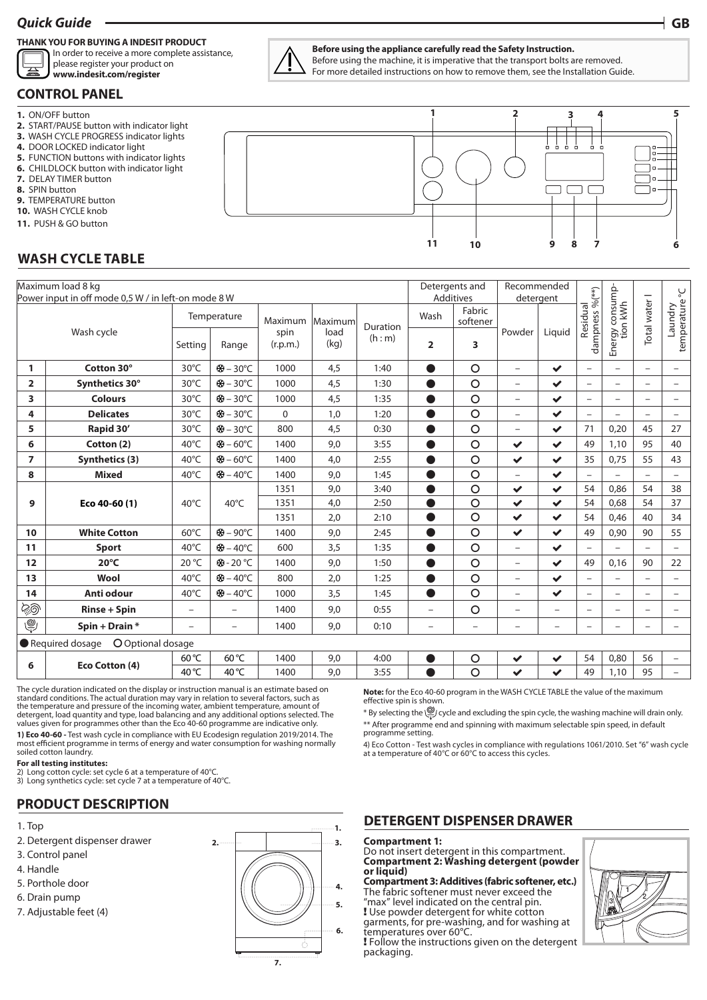# *Quick Guide* **GB**

### **THANK YOU FOR BUYING A INDESIT PRODUCT**

In order to receive a more complete assistance, please register your product on



### **CONTROL PANEL**

- **1.** ON/OFF button
- **2.** START/PAUSE button with indicator light
- **3.** WASH CYCLE PROGRESS indicator lights
- **4.** DOOR LOCKED indicator light
- **5.** FUNCTION buttons with indicator lights
- **6.** CHILDLOCK button with indicator light
- **7.** DELAY TIMER button
- **8.** SPIN button
- **9.** TEMPERATURE button
- **10.** WASH CYCLE knob
- **11.** PUSH & GO button

# **WASH CYCLE TABLE**

| Maximum load 8 kg<br>Power input in off mode 0,5 W / in left-on mode 8 W |                                          |                          |                          |                  |              |                     |                          | Detergents and<br>Additives |                          | Recommended<br>detergent |                          |                             |                          | Š                        |
|--------------------------------------------------------------------------|------------------------------------------|--------------------------|--------------------------|------------------|--------------|---------------------|--------------------------|-----------------------------|--------------------------|--------------------------|--------------------------|-----------------------------|--------------------------|--------------------------|
| Wash cycle                                                               |                                          | Temperature              |                          | Maximum          | Maximum      |                     | Wash                     | Fabric<br>softener          |                          |                          | Residual                 |                             | Total water I            |                          |
|                                                                          |                                          | Setting                  | Range                    | spin<br>(r.p.m.) | load<br>(kg) | Duration<br>(h : m) | 2                        | 3                           | Powder                   | Liquid                   | dampness %(**)           | Energy consump-<br>tion kWh |                          | laundry<br>temperature   |
| 1                                                                        | Cotton 30°                               | $30^{\circ}$ C           | ※ - 30°C                 | 1000             | 4,5          | 1:40                | $\bullet$                | O                           | $\overline{\phantom{0}}$ | $\checkmark$             | $\overline{\phantom{0}}$ | $\overline{\phantom{0}}$    | $\overline{\phantom{0}}$ | $\overline{\phantom{0}}$ |
| $\overline{2}$                                                           | Synthetics 30°                           | $30^{\circ}$ C           | <b>※-30℃</b>             | 1000             | 4,5          | 1:30                |                          | $\circ$                     | $\overline{\phantom{0}}$ | $\checkmark$             | $\overline{\phantom{0}}$ | $\overline{a}$              | $\overline{\phantom{0}}$ | $\overline{\phantom{0}}$ |
| 3                                                                        | <b>Colours</b>                           | $30^{\circ}$ C           | <b>※-30℃</b>             | 1000             | 4,5          | 1:35                |                          | $\circ$                     | $\overline{\phantom{0}}$ | $\checkmark$             | $\overline{\phantom{0}}$ | $\overline{\phantom{0}}$    | $\overline{\phantom{0}}$ |                          |
| 4                                                                        | <b>Delicates</b>                         | $30^{\circ}$ C           | <del>※</del> -30°C       | $\Omega$         | 1,0          | 1:20                |                          | $\overline{O}$              | $\overline{\phantom{0}}$ | $\checkmark$             | $\overline{\phantom{0}}$ |                             | $\overline{\phantom{0}}$ |                          |
| 5                                                                        | Rapid 30'                                | 30°C                     | <del>※</del> -30°C       | 800              | 4,5          | 0:30                |                          | $\circ$                     | $\overline{\phantom{0}}$ | $\checkmark$             | 71                       | 0,20                        | 45                       | 27                       |
| 6                                                                        | Cotton (2)                               | $40^{\circ}$ C           | ※ - 60°C                 | 1400             | 9,0          | 3:55                | O                        | $\circ$                     | $\checkmark$             | $\checkmark$             | 49                       | 1,10                        | 95                       | 40                       |
| $\overline{ }$                                                           | <b>Synthetics (3)</b>                    | $40^{\circ}$ C           | <del>※</del> -60°C       | 1400             | 4,0          | 2:55                |                          | $\circ$                     | $\checkmark$             | $\checkmark$             | 35                       | 0,75                        | 55                       | 43                       |
| 8                                                                        | <b>Mixed</b>                             | $40^{\circ}$ C           | <b>※ - 40°C</b>          | 1400             | 9,0          | 1:45                |                          | $\circ$                     | $\overline{\phantom{0}}$ | $\checkmark$             | $\overline{\phantom{0}}$ | $\overline{\phantom{0}}$    | $\overline{\phantom{0}}$ | $\overline{\phantom{m}}$ |
| 9                                                                        | Eco 40-60 (1)                            | $40^{\circ}$ C           | 40°C                     | 1351             | 9,0          | 3:40                |                          | $\circ$                     | $\checkmark$             | $\checkmark$             | 54                       | 0,86                        | 54                       | 38                       |
|                                                                          |                                          |                          |                          | 1351             | 4,0          | 2:50                |                          | $\overline{O}$              | $\checkmark$             | $\checkmark$             | 54                       | 0,68                        | 54                       | 37                       |
|                                                                          |                                          |                          |                          | 1351             | 2,0          | 2:10                |                          | $\circ$                     | $\checkmark$             | $\checkmark$             | 54                       | 0,46                        | 40                       | 34                       |
| 10                                                                       | <b>White Cotton</b>                      | $60^{\circ}$ C           | ※-90°C                   | 1400             | 9,0          | 2:45                |                          | $\circ$                     | $\checkmark$             | $\checkmark$             | 49                       | 0,90                        | 90                       | 55                       |
| 11                                                                       | <b>Sport</b>                             | $40^{\circ}$ C           | <b>※-40°C</b>            | 600              | 3,5          | 1:35                |                          | $\overline{O}$              | $\overline{\phantom{0}}$ | $\checkmark$             |                          |                             |                          | $\qquad \qquad -$        |
| 12                                                                       | $20^{\circ}$ C                           | 20 °C                    | *8-20 °C                 | 1400             | 9,0          | 1:50                | A                        | $\overline{O}$              | $\qquad \qquad -$        | $\checkmark$             | 49                       | 0,16                        | 90                       | 22                       |
| 13                                                                       | Wool                                     | $40^{\circ}$ C           | <b>※-40℃</b>             | 800              | 2,0          | 1:25                | $\bullet$                | O                           | $\overline{\phantom{0}}$ | $\checkmark$             | $\overline{\phantom{0}}$ | $\overline{\phantom{0}}$    | $\overline{\phantom{0}}$ | $\qquad \qquad -$        |
| 14                                                                       | Anti odour                               | $40^{\circ}$ C           | ※ - 40°C                 | 1000             | 3,5          | 1:45                | O                        | $\circ$                     | $\overline{\phantom{0}}$ | $\checkmark$             | $\overline{\phantom{0}}$ | $\overline{\phantom{0}}$    | $\overline{\phantom{0}}$ | $\overline{\phantom{0}}$ |
| මිනි                                                                     | <b>Rinse + Spin</b>                      | $\overline{\phantom{0}}$ | $\overline{\phantom{0}}$ | 1400             | 9,0          | 0:55                | $\overline{\phantom{0}}$ | $\circ$                     | $\overline{\phantom{0}}$ | $\overline{\phantom{0}}$ | $\overline{\phantom{0}}$ | $\overline{\phantom{0}}$    | $\overline{\phantom{0}}$ | $\overline{\phantom{0}}$ |
| ے                                                                        | Spin + Drain *                           | $\overline{\phantom{0}}$ | -                        | 1400             | 9,0          | 0:10                | $\overline{\phantom{0}}$ | $\overline{\phantom{0}}$    | $\overline{\phantom{0}}$ | $\overline{\phantom{0}}$ | $\overline{\phantom{0}}$ | $\overline{\phantom{0}}$    | $\overline{\phantom{0}}$ |                          |
|                                                                          | O Optional dosage<br>Required dosage     |                          |                          |                  |              |                     |                          |                             |                          |                          |                          |                             |                          |                          |
| $\epsilon$                                                               | $E_{\text{on}}$ $C_{\text{offon}}$ $(1)$ | $60^{\circ}$ C           | 60 °C                    | 1400             | 9,0          | 4:00                |                          | O                           | $\checkmark$             | $\checkmark$             | 54                       | 0,80                        | 56                       |                          |

The cycle duration indicated on the display or instruction manual is an estimate based on standard conditions. The actual duration may vary in relation to several factors, such as the temperature and pressure of the incoming water, ambient temperature, amount of detergent, load quantity and type, load balancing and any additional options selected. The values given for programmes other than the Eco 40-60 programme are indicative only.

**1) Eco 40-60 -** Test wash cycle in compliance with EU Ecodesign regulation 2019/2014. The most efficient programme in terms of energy and water consumption for washing normally soiled cotton laundry.

#### **For all testing institutes:**

2) Long cotton cycle: set cycle 6 at a temperature of 40°C.

3) Long synthetics cycle: set cycle 7 at a temperature of 40°C.

# **PRODUCT DESCRIPTION**

- 1. Top
- 2. Detergent dispenser drawer
- 3. Control panel
- 4. Handle
- 5. Porthole door
- 6. Drain pump
- 7. Adjustable feet (4)



### **Before using the appliance carefully read the Safety Instruction.**

Before using the machine, it is imperative that the transport bolts are removed. For more detailed instructions on how to remove them, see the Installation Guide.



# **Note:** for the Eco 40-60 program in the WASH CYCLE TABLE the value of the maximum effective spin is shown. \* By selecting the cycle and excluding the spin cycle, the washing machine will drain only. **<sup>6</sup> Eco Cotton (4)** 60 °C 60 °C <sup>1400</sup> 9,0 4:00 <sup>54</sup> 0,80 <sup>56</sup> – 40 °C 40 °C 1400 9,0 3:55 49 1,10 95 –

\*\* After programme end and spinning with maximum selectable spin speed, in default programme setting.

4) Eco Cotton - Test wash cycles in compliance with regulations 1061/2010. Set "6" wash cycle at a temperature of 40°C or 60°C to access this cycles.

# **DETERGENT DISPENSER DRAWER**

### **Compartment 1:**

Do not insert detergent in this compartment. **Compartment 2: Washing detergent (powder or liquid)**

**Compartment 3: Additives (fabric softener, etc.)** The fabric softener must never exceed the "max" level indicated on the central pin. ! Use powder detergent for white cotton

garments, for pre-washing, and for washing at temperatures over 60°C.

! Follow the instructions given on the detergent packaging.

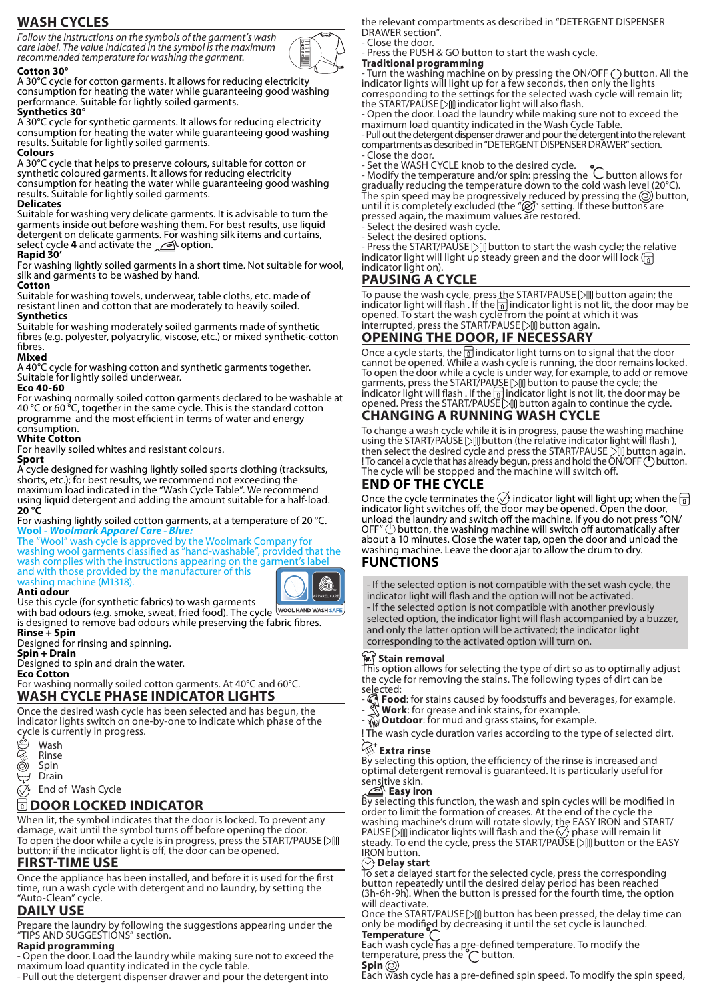# **WASH CYCLES**

*Follow the instructions on the symbols of the garment's wash care label. The value indicated in the symbol is the maximum recommended temperature for washing the garment.*

### **Cotton 30°**

A 30°C cycle for cotton garments. It allows for reducing electricity consumption for heating the water while guaranteeing good washing performance. Suitable for lightly soiled garments.

#### **Synthetics 30°**

A 30°C cycle for synthetic garments. It allows for reducing electricity consumption for heating the water while guaranteeing good washing results. Suitable for lightly soiled garments. **Colours**

A 30°C cycle that helps to preserve colours, suitable for cotton or synthetic coloured garments. It allows for reducing electricity consumption for heating the water while guaranteeing good washing results. Suitable for lightly soiled garments.

### **Delicates**

Suitable for washing very delicate garments. It is advisable to turn the garments inside out before washing them. For best results, use liquid detergent on delicate garments. For washing silk items and curtains, select cycle **4** and activate the <u>ori</u> option.

### **Rapid 30'**

For washing lightly soiled garments in a short time. Not suitable for wool, silk and garments to be washed by hand.

### **Cotton**

Suitable for washing towels, underwear, table cloths, etc. made of resistant linen and cotton that are moderately to heavily soiled. **Synthetics**

Suitable for washing moderately soiled garments made of synthetic fibres (e.g. polyester, polyacrylic, viscose, etc.) or mixed synthetic-cotton fibres.

#### **Mixed**

A 40°C cycle for washing cotton and synthetic garments together. Suitable for lightly soiled underwear.

### **Eco 40-60**

For washing normally soiled cotton garments declared to be washable at 40 °C or 60 °C, together in the same cycle. This is the standard cotton programme and the most efficient in terms of water and energy consumption.

#### **White Cotton**

For heavily soiled whites and resistant colours.

#### **Sport**

A cycle designed for washing lightly soiled sports clothing (tracksuits, shorts, etc.); for best results, we recommend not exceeding the maximum load indicated in the "Wash Cycle Table". We recommend using liquid detergent and adding the amount suitable for a half-load. **20 °C**

#### For washing lightly soiled cotton garments, at a temperature of 20 °C. **Wool -** *Woolmark Apparel Care - Blue:*

The "Wool" wash cycle is approved by the Woolmark Company for washing wool garments classified as "hand-washable", provided that the wash complies with the instructions appearing on the garment's label and with those provided by the manufacturer of this washing machine (M1318).

### **Anti odour**



Use this cycle (for synthetic fabrics) to wash garments with bad odours (e.g. smoke, sweat, fried food). The cycle WOOL HAND WASH SAFE is designed to remove bad odours while preserving the fabric fibres.

**Rinse + Spin** Designed for rinsing and spinning.

**Spin + Drain**

Designed to spin and drain the water.

#### **Eco Cotton**

For washing normally soiled cotton garments. At 40°C and 60°C. **WASH CYCLE PHASE INDICATOR LIGHTS**

Once the desired wash cycle has been selected and has begun, the indicator lights switch on one-by-one to indicate which phase of the cycle is currently in progress.<br>  $\begin{array}{ll}\n\otimes & \text{Wash} \\
\hline\n\otimes & \text{Rinse} \\
\hline\n\otimes & \text{Spin}\n\end{array}$ 

- Wash
- Rinse
- Spin
- Drain

End of Wash Cycle

# **DOOR LOCKED INDICATOR**

When lit, the symbol indicates that the door is locked. To prevent any damage, wait until the symbol turns off before opening the door. To open the door while a cycle is in progress, press the START/PAUSE button; if the indicator light is off, the door can be opened.

# **FIRST-TIME USE**

Once the appliance has been installed, and before it is used for the first time, run a wash cycle with detergent and no laundry, by setting the "Auto-Clean" cycle.

# **DAILY USE**

Prepare the laundry by following the suggestions appearing under the "TIPS AND SUGGESTIONS" section.

### **Rapid programming**

- Open the door. Load the laundry while making sure not to exceed the maximum load quantity indicated in the cycle table.

- Pull out the detergent dispenser drawer and pour the detergent into

the relevant compartments as described in "DETERGENT DISPENSER DRAWER section".

- Close the door.

- Press the PUSH & GO button to start the wash cycle.

#### **Traditional programming**

- Turn the washing machine on by pressing the ON/OFF (<sup>1</sup>) button. All the indicator lights will light up for a few seconds, then only the lights corresponding to the settings for the selected wash cycle will remain lit; the START/PAUSE  $\Diamond$  indicator light will also flash.

- Open the door. Load the laundry while making sure not to exceed the maximum load quantity indicated in the Wash Cycle Table.

- Pull out the detergent dispenser drawer and pour the detergent into the relevant compartments as described in "DETERGENT DISPENSER DRAWER" section. - Close the door.

- Set the WASH CYCLE knob to the desired cycle.

- Modify the temperature and/or spin: pressing the C button allows for gradually reducing the temperature down to the cold wash level (20°C). The spin speed may be progressively reduced by pressing the  $\circledcirc$  button, until it is completely excluded (the " $\mathcal{D}$ " setting. If these buttons are pressed again, the maximum values are restored.

- Select the desired wash cycle.

- Select the desired option.

- Press the START/PAUSE [20] button to start the wash cycle; the relative indicator light will light up steady green and the door will lock  $\left(\frac{1}{\Omega}\right)$ indicator light on).

# **PAUSING A CYCLE**

To pause the wash cycle, press the START/PAUSE [> iii] button again; the indicator light will flash . If the  $\frac{1}{10}$  indicator light is not lit, the door may be opened. To start the wash cycle from the point at which it was interrupted, press the START/PAUSE DII button again.

# **OPENING THE DOOR, IF NECESSARY**

Once a cycle starts, the  $\frac{1}{2}$  indicator light turns on to signal that the door cannot be opened. While a wash cycle is running, the door remains locked. To open the door while a cycle is under way, for example, to add or remove garments, press the START/PAUSE DIII button to pause the cycle; the indicator light will flash . If the  $\frac{1}{\Omega}$  indicator light is not lit, the door may be opened. Press the START/PAUSE button again to continue the cycle.

# **CHANGING A RUNNING WASH CYCLE**

To change a wash cycle while it is in progress, pause the washing machine using the START/PAUSE  $\Diamond$  button (the relative indicator light will flash), then select the desired cycle and press the START/PAUSE Dill button again. ! To cancel a cycle that has already begun, press and hold the ON/OFF ( button. The cycle will be stopped and the machine will switch off.

### **END OF THE CYCLE**

Once the cycle terminates the  $\bigcirc$  indicator light will light up; when the  $\boxed{\scriptstyle\rm fl}$ indicator light switches off, the door may be opened. Open the door, unload the laundry and switch off the machine. If you do not press "ON/ OFF"  $\bigcirc$  button, the washing machine will switch off automatically after about a 10 minutes. Close the water tap, open the door and unload the washing machine. Leave the door ajar to allow the drum to dry.

### **FUNCTIONS**

- If the selected option is not compatible with the set wash cycle, the indicator light will flash and the option will not be activated. - If the selected option is not compatible with another previously selected option, the indicator light will flash accompanied by a buzzer, and only the latter option will be activated; the indicator light corresponding to the activated option will turn on.

### **Stain removal**

This option allows for selecting the type of dirt so as to optimally adjust the cycle for removing the stains. The following types of dirt can be selected:

- **Food**: for stains caused by foodstuffs and beverages, for example. - **Work**: for grease and ink stains, for example. - **Outdoor**: for mud and grass stains, for example.

! The wash cycle duration varies according to the type of selected dirt.

# **Extra rinse**

By selecting this option, the efficiency of the rinse is increased and optimal detergent removal is guaranteed. It is particularly useful for sensitive skin.

### **Easy iron**

By selecting this function, the wash and spin cycles will be modified in order to limit the formation of creases. At the end of the cycle the washing machine's drum will rotate slowly; the EASY IRON and START/ PAUSE  $\Im$  indicator lights will flash and the  $\Diamond$  phase will remain lit steady. To end the cycle, press the START/PAUSE ∑∭ button or the EASY IRON button.

### **Delay start**

To set a delayed start for the selected cycle, press the corresponding button repeatedly until the desired delay period has been reached (3h-6h-9h). When the button is pressed for the fourth time, the option will deactivate.

Once the START/PAUSE  $\triangleright$  []] button has been pressed, the delay time can only be modified by decreasing it until the set cycle is launched. **Temperature** 

Each wash cycle has a pre-defined temperature. To modify the temperature, press the  $\bigcap$  button. **Spin**

Each wash cycle has a pre-defined spin speed. To modify the spin speed,

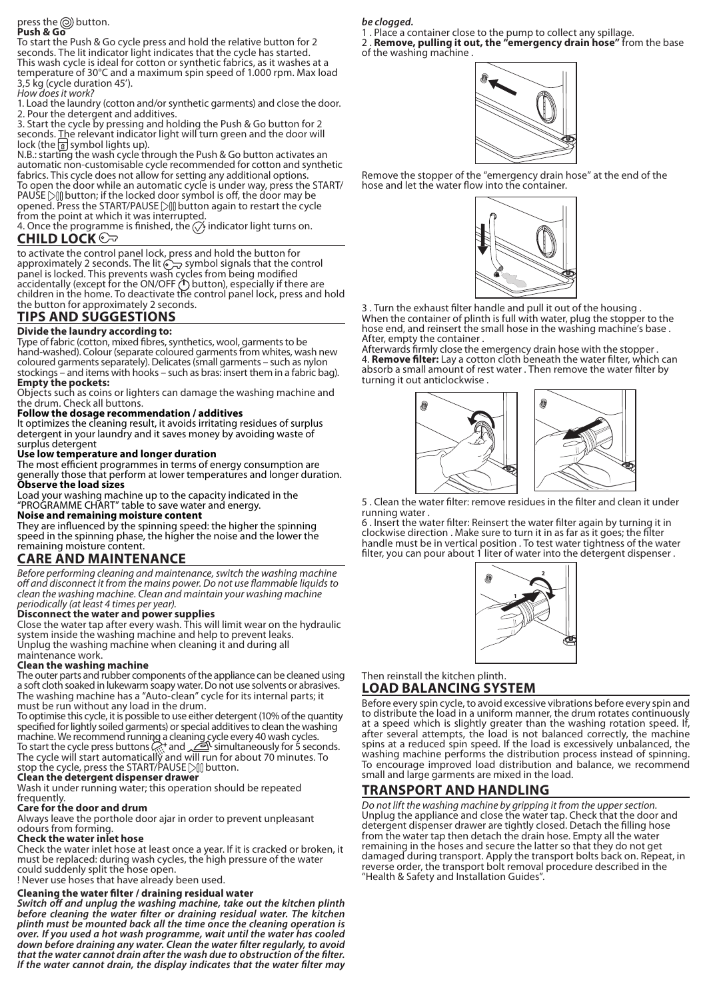#### press the  $\circledcirc$  button. **Push & Go**

To start the Push & Go cycle press and hold the relative button for 2 seconds. The lit indicator light indicates that the cycle has started. This wash cycle is ideal for cotton or synthetic fabrics, as it washes at a temperature of 30°C and a maximum spin speed of 1.000 rpm. Max load 3,5 kg (cycle duration 45').

*How does it work?* 1. Load the laundry (cotton and/or synthetic garments) and close the door.

2. Pour the detergent and additives. 3. Start the cycle by pressing and holding the Push & Go button for 2 seconds. The relevant indicator light will turn green and the door will lock (the  $\frac{1}{2}$  symbol lights up).

N.B.: starting the wash cycle through the Push & Go button activates an automatic non-customisable cycle recommended for cotton and synthetic fabrics. This cycle does not allow for setting any additional options. To open the door while an automatic cycle is under way, press the START/ PAUSE  $\Diamond$  button; if the locked door symbol is off, the door may be opened. Press the START/PAUSE DI button again to restart the cycle

from the point at which it was interrupted. 4. Once the programme is finished, the  $\oslash$  indicator light turns on.

# **CHILD LOCK**

to activate the control panel lock, press and hold the button for approximately 2 seconds. The lit  $\widehat{\mathbb{C}}$  symbol signals that the control panel is locked. This prevents wash cycles from being modified accidentally (except for the ON/OFF (<sup>I</sup>) button), especially if there are children in the home. To deactivate the control panel lock, press and hold the button for approximately 2 seconds.

# **TIPS AND SUGGESTIONS**

# **Divide the laundry according to:**

Type of fabric (cotton, mixed fibres, synthetics, wool, garments to be hand-washed). Colour (separate coloured garments from whites, wash new coloured garments separately). Delicates (small garments – such as nylon stockings – and items with hooks – such as bras: insert them in a fabric bag). **Empty the pockets:**

Objects such as coins or lighters can damage the washing machine and the drum. Check all buttons.

### **Follow the dosage recommendation / additives**

It optimizes the cleaning result, it avoids irritating residues of surplus detergent in your laundry and it saves money by avoiding waste of surplus detergent

### **Use low temperature and longer duration**

The most efficient programmes in terms of energy consumption are generally those that perform at lower temperatures and longer duration. **Observe the load sizes**

Load your washing machine up to the capacity indicated in the "PROGRAMME CHART" table to save water and energy.

### **Noise and remaining moisture content**

They are influenced by the spinning speed: the higher the spinning speed in the spinning phase, the higher the noise and the lower the remaining moisture content.

# **CARE AND MAINTENANCE**

*Before performing cleaning and maintenance, switch the washing machine off and disconnect it from the mains power. Do not use flammable liquids to clean the washing machine. Clean and maintain your washing machine periodically (at least 4 times per year).*

### **Disconnect the water and power supplies**

Close the water tap after every wash. This will limit wear on the hydraulic system inside the washing machine and help to prevent leaks. Unplug the washing machine when cleaning it and during all

# maintenance work.

**Clean the washing machine** The outer parts and rubber components of the appliance can be cleaned using a soft cloth soaked in lukewarm soapy water. Do not use solvents or abrasives. The washing machine has a "Auto-clean" cycle for its internal parts; it must be run without any load in the drum.

To optimise this cycle, it is possible to use either detergent (10% of the quantity specified for lightly soiled garments) or special additives to clean the washing machine. We recommend running a cleaning cycle every 40 wash cycles. To start the cycle press buttons  $\mathbb{R}^+$  and  $\mathbb{Z}$  simultaneously for 5 seconds. The cycle will start automatically and will run for about 70 minutes. To stop the cycle, press the START/PAUSE DIII button.

# **Clean the detergent dispenser drawer**

Wash it under running water; this operation should be repeated

# frequently.

**Care for the door and drum** Always leave the porthole door ajar in order to prevent unpleasant odours from forming.

# **Check the water inlet hose**

Check the water inlet hose at least once a year. If it is cracked or broken, it must be replaced: during wash cycles, the high pressure of the water could suddenly split the hose open. ! Never use hoses that have already been used.

# **Cleaning the water filter / draining residual water**

*Switch off and unplug the washing machine, take out the kitchen plinth before cleaning the water filter or draining residual water. The kitchen plinth must be mounted back all the time once the cleaning operation is over. If you used a hot wash programme, wait until the water has cooled down before draining any water. Clean the water filter regularly, to avoid that the water cannot drain after the wash due to obstruction of the filter. If the water cannot drain, the display indicates that the water filter may* 

*be clogged.*

1 . Place a container close to the pump to collect any spillage. 2 . **Remove, pulling it out, the "emergency drain hose"** from the base of the washing machine .



Remove the stopper of the "emergency drain hose" at the end of the hose and let the water flow into the container.



3 . Turn the exhaust filter handle and pull it out of the housing . When the container of plinth is full with water, plug the stopper to the hose end, and reinsert the small hose in the washing machine's base. After, empty the container .

Afterwards firmly close the emergency drain hose with the stopper . 4. **Remove filter:** Lay a cotton cloth beneath the water filter, which can absorb a small amount of rest water . Then remove the water filter by turning it out anticlockwise .



5 . Clean the water filter: remove residues in the filter and clean it under running water .

6 . Insert the water filter: Reinsert the water filter again by turning it in clockwise direction . Make sure to turn it in as far as it goes; the filter handle must be in vertical position . To test water tightness of the water filter, you can pour about 1 liter of water into the detergent dispenser.



### Then reinstall the kitchen plinth. **LOAD BALANCING SYSTEM**

Before every spin cycle, to avoid excessive vibrations before every spin and to distribute the load in a uniform manner, the drum rotates continuously at a speed which is slightly greater than the washing rotation speed. If, after several attempts, the load is not balanced correctly, the machine spins at a reduced spin speed. If the load is excessively unbalanced, the washing machine performs the distribution process instead of spinning. To encourage improved load distribution and balance, we recommend small and large garments are mixed in the load.

# **TRANSPORT AND HANDLING**

*Do not lift the washing machine by gripping it from the upper section.* Unplug the appliance and close the water tap. Check that the door and detergent dispenser drawer are tightly closed. Detach the filling hose from the water tap then detach the drain hose. Empty all the water remaining in the hoses and secure the latter so that they do not get damaged during transport. Apply the transport bolts back on. Repeat, in reverse order, the transport bolt removal procedure described in the "Health & Safety and Installation Guides".